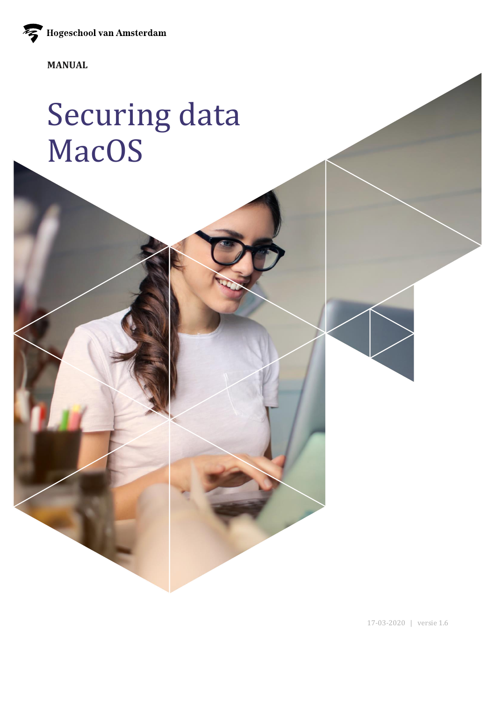Hogeschool van Amsterdam

## **MANUAL**

# Securing data **MacOS**

17-03-2020 | versie 1.6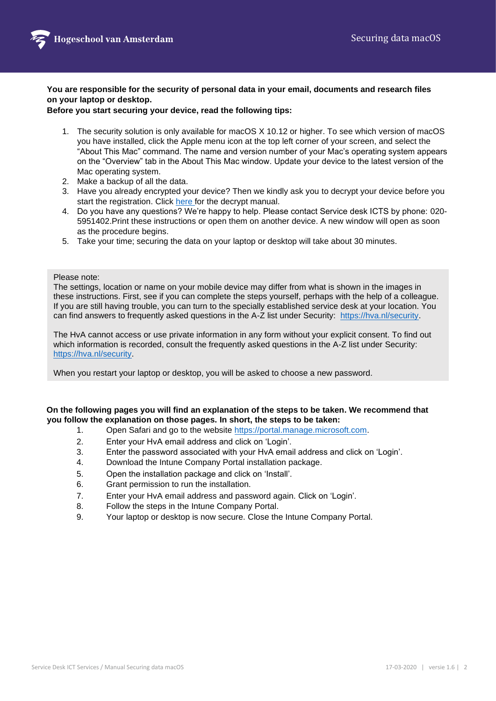

**You are responsible for the security of personal data in your email, documents and research files on your laptop or desktop.** 

### **Before you start securing your device, read the following tips:**

- 1. The security solution is only available for macOS X 10.12 or higher. To see which version of macOS you have installed, click the Apple menu icon at the top left corner of your screen, and select the "About This Mac" command. The name and version number of your Mac's operating system appears on the "Overview" tab in the About This Mac window. Update your device to the latest version of the Mac operating system.
- 2. Make a backup of all the data.
- 3. Have you already encrypted your device? Then we kindly ask you to decrypt your device before you start the registration. Click [here](https://www.amsterdamuas.com/binaries/content/assets/serviceplein-a-z-lemmas/its-si/ict-beveiliging/manual-decryption-hva-.pdf?1575026282205) [f](https://www.amsterdamuas.com/binaries/content/assets/serviceplein-a-z-lemmas/its-si/ict-beveiliging/manual-decryption-hva-.pdf?1575026282205)or the decrypt manual.
- 4. Do you have any questions? We're happy to help. Please contact Service desk ICTS by phone: 020- 5951402.Print these instructions or open them on another device. A new window will open as soon as the procedure begins.
- 5. Take your time; securing the data on your laptop or desktop will take about 30 minutes.

### Please note:

The settings, location or name on your mobile device may differ from what is shown in the images in these instructions. First, see if you can complete the steps yourself, perhaps with the help of a colleague. If you are still having trouble, you can turn to the specially established service desk at your location. You can find answers to frequently asked questions in the A-Z list under Security: [https://hva.nl/security.](https://hva.nl/security)

The HvA cannot access or use private information in any form without your explicit consent. To find out which information is recorded, consult the frequently asked questions in the A-Z list under Security: [https://hva.nl/security.](https://hva.nl/security)

When you restart your laptop or desktop, you will be asked to choose a new password.

#### **On the following pages you will find an explanation of the steps to be taken. We recommend that you follow the explanation on those pages. In short, the steps to be taken:**

- 1. Open Safari and go to the website https://portal.manage.microsoft.com.
- 2. Enter your HvA email address and click on 'Login'.
- 3. Enter the password associated with your HvA email address and click on 'Login'.
- 4. Download the Intune Company Portal installation package.
- 5. Open the installation package and click on 'Install'.
- 6. Grant permission to run the installation.
- 7. Enter your HvA email address and password again. Click on 'Login'.
- 8. Follow the steps in the Intune Company Portal.
- 9. Your laptop or desktop is now secure. Close the Intune Company Portal.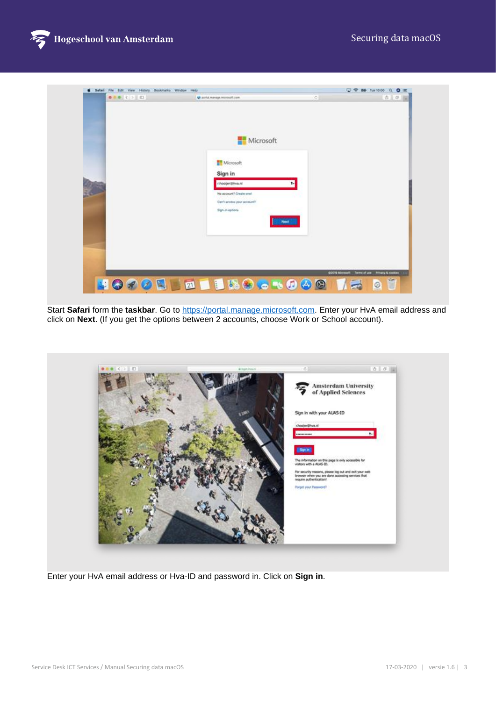

| Microsoft<br>Microsoft<br>Sign in<br>r hoojer@hva.nl<br>No account? Create one!<br>Can't access your account?<br>Sign-in aptions | 合きの理 |
|----------------------------------------------------------------------------------------------------------------------------------|------|
|                                                                                                                                  |      |
| Next.                                                                                                                            |      |

Start **Safari** form the **taskbar**. Go to [https://portal.manage.microsoft.com.](https://portal.manage.microsoft.com/) Enter your HvA email address and click on **Next**. (If you get the options between 2 accounts, choose Work or School account).

|  | Sign in with your AUAS-ID<br>choojer@hva.nl                                                                                                                                                                               |
|--|---------------------------------------------------------------------------------------------------------------------------------------------------------------------------------------------------------------------------|
|  | -----------<br>$\mathbf{F}$<br><b>Elioning</b>                                                                                                                                                                            |
|  | The information on this page is only accessible for<br>visitors with a AUAS-ID.<br>For security reasons, please log out and exit your web<br>browser when you are done accessing services that<br>require authentication! |
|  | Porget your Password?                                                                                                                                                                                                     |

Enter your HvA email address or Hva-ID and password in. Click on **Sign in**.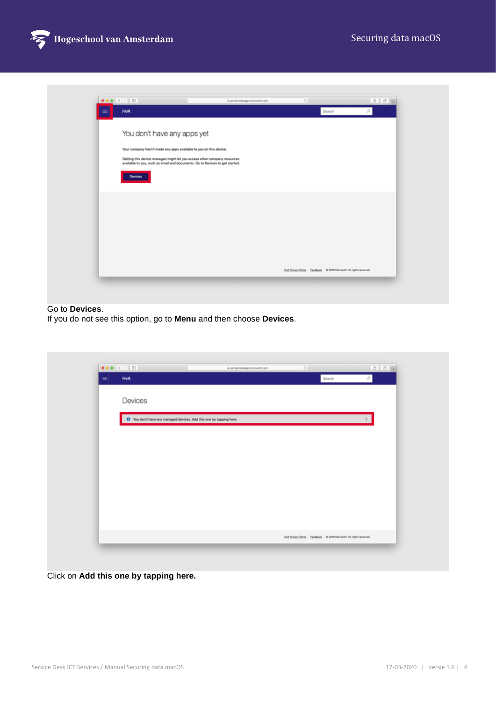



## Go to **Devices**.

If you do not see this option, go to **Menu** and then choose **Devices**.

| $\bullet \bullet \bullet \hspace{0.1cm} \leftarrow \hspace{0.1cm} \leftarrow \hspace{0.1cm} \bullet \hspace{0.1cm} \bullet \hspace{0.1cm} \bullet \hspace{0.1cm} \bullet \hspace{0.1cm} \bullet \hspace{0.1cm} \bullet$ | & portal.manage.microsoft.com | $\circ$                                                             | $00 - 0$<br>$\mathcal{D}$ |
|-------------------------------------------------------------------------------------------------------------------------------------------------------------------------------------------------------------------------|-------------------------------|---------------------------------------------------------------------|---------------------------|
| HvA<br>$=$                                                                                                                                                                                                              |                               | Search                                                              |                           |
| Devices                                                                                                                                                                                                                 |                               |                                                                     |                           |
|                                                                                                                                                                                                                         |                               |                                                                     |                           |
| O You don't have any managed devices. Add this one by tapping here.                                                                                                                                                     |                               |                                                                     |                           |
|                                                                                                                                                                                                                         |                               |                                                                     |                           |
|                                                                                                                                                                                                                         |                               |                                                                     |                           |
|                                                                                                                                                                                                                         |                               |                                                                     |                           |
|                                                                                                                                                                                                                         |                               |                                                                     |                           |
|                                                                                                                                                                                                                         |                               |                                                                     |                           |
|                                                                                                                                                                                                                         |                               |                                                                     |                           |
|                                                                                                                                                                                                                         |                               |                                                                     |                           |
|                                                                                                                                                                                                                         |                               |                                                                     |                           |
|                                                                                                                                                                                                                         |                               |                                                                     |                           |
|                                                                                                                                                                                                                         |                               | Hull Prinacy Terms Etechnick 0 2019 Microsoft, All rights reserved. |                           |
|                                                                                                                                                                                                                         |                               |                                                                     |                           |

Click on **Add this one by tapping here.**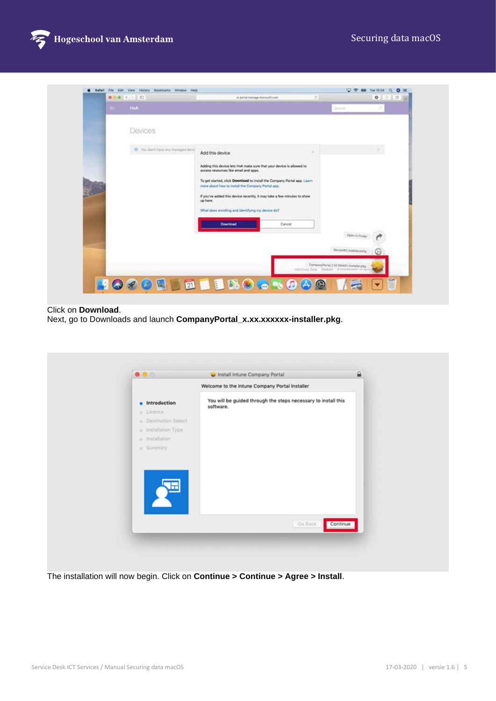



## Click on **Download**.

Next, go to Downloads and launch **CompanyPortal\_x.xx.xxxxxx-installer.pkg**.

| $\bullet\bullet\circ$             | Install Intune Company Portal                                  | $\mathbf{a}$ |
|-----------------------------------|----------------------------------------------------------------|--------------|
|                                   | Welcome to the Intune Company Portal Installer                 |              |
| · Introduction                    | You will be guided through the steps necessary to install this |              |
| o Licence                         | software.                                                      |              |
| · Destination Select              |                                                                |              |
| e Installation Type               |                                                                |              |
| o Installation                    |                                                                |              |
| o Summary                         |                                                                |              |
| $\mathcal{L}^{\text{\tiny{III}}}$ |                                                                |              |
|                                   | Go Back                                                        | Continue     |
|                                   |                                                                |              |
|                                   |                                                                |              |

The installation will now begin. Click on **Continue > Continue > Agree > Install**.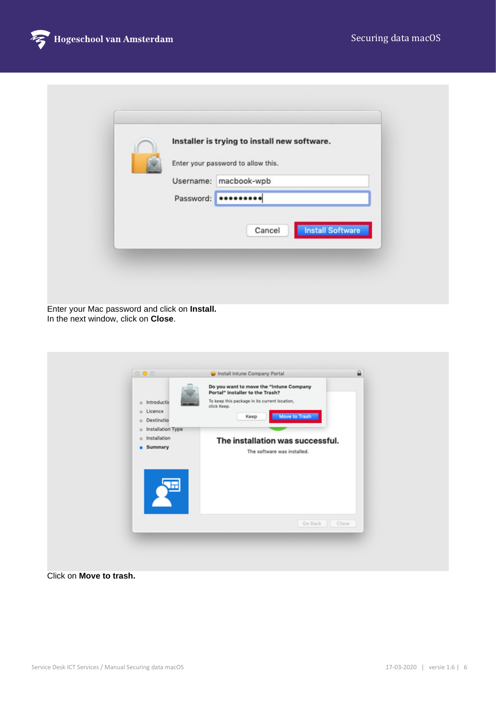

|           | Installer is trying to install new software. |
|-----------|----------------------------------------------|
|           | Enter your password to allow this.           |
|           | Username: macbook-wpb                        |
| Password: |                                              |
|           | <b>Install Software</b><br>Cancel            |
|           |                                              |

Enter your Mac password and click on **Install.** In the next window, click on **Close**.

| e Introductio     | Do you want to move the "Intune Company       |
|-------------------|-----------------------------------------------|
| e Licence         | Portal" Installer to the Trash?               |
| e Destinatio      | To keep this package in its current location, |
| Installation Type | click Keep.                                   |
| o.                | Move to Trash                                 |
| Installation      | Keep                                          |
| $\circ$           | The installation was successful.              |
| · Summary         | The software was installed.                   |
|                   | Go Back<br>Close                              |

Click on **Move to trash.**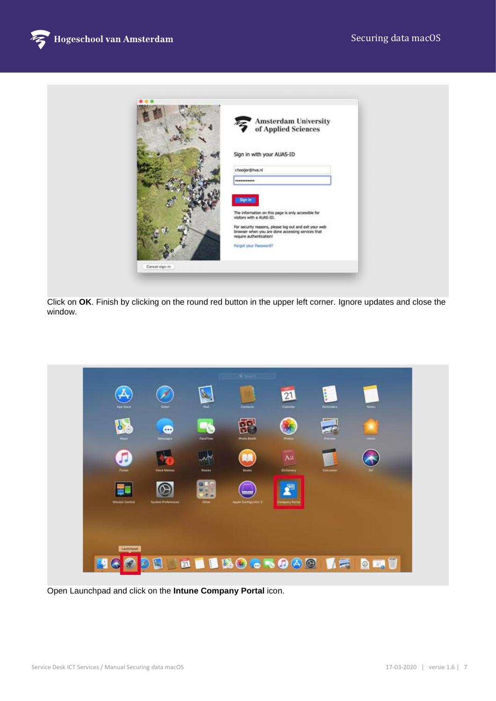



Click on **OK**. Finish by clicking on the round red button in the upper left corner. Ignore updates and close the window.



Open Launchpad and click on the **Intune Company Portal** icon.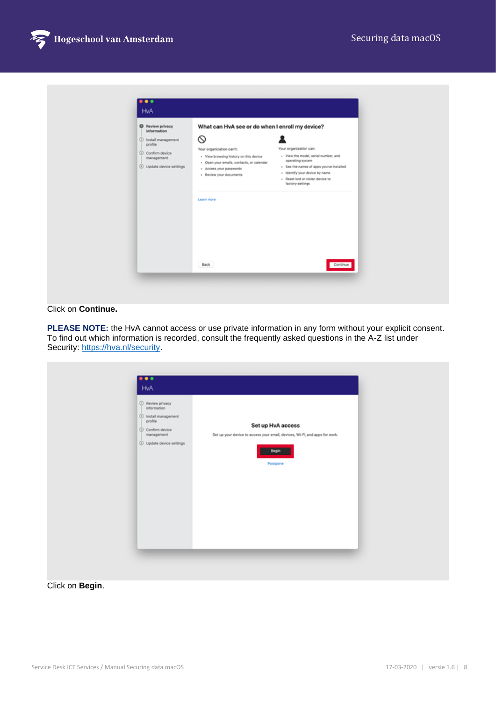

| <b>O</b> Review privacy<br><i>information</i><br>C Install management<br>profile<br>Confirm device<br>management<br>4 Update device settings | What can HvA see or do when I enroll my device?<br>Ø<br>Your organization can't:<br>- View browsing history on this device<br>- Open your emails, contacts, or calendar<br>- Access your passwords<br>- Review your documents<br>Learn more | Your organization can:<br>- View the model, serial number, and<br>operating system<br>- See the names of apps you've installed<br>- Identify your device by name<br>- Reset lost or stolen device to<br>factory settings |
|----------------------------------------------------------------------------------------------------------------------------------------------|---------------------------------------------------------------------------------------------------------------------------------------------------------------------------------------------------------------------------------------------|--------------------------------------------------------------------------------------------------------------------------------------------------------------------------------------------------------------------------|
|                                                                                                                                              | Back                                                                                                                                                                                                                                        | Continue                                                                                                                                                                                                                 |

### Click on **Continue.**

**PLEASE NOTE:** the HvA cannot access or use private information in any form without your explicit consent. To find out which information is recorded, consult the frequently asked questions in the A-Z list under Security: [https://hva.nl/security.](https://az.hva.nl/en/employees/az-lemmas/employees/auas/its-si/ict-security/frequently-asked-questions-security-measures/frequently-asked-questions-security-measures-secure-self.html?origin=XHpa9wz9QwO16T1QmXaA%2Fw)

| $\odot$ Review privacy<br>information<br><b>O</b> Install management<br>profile<br>Set up HvA access<br>Confirm device<br>Set up your device to access your email, devices, Wi-Fi, and apps for work.<br>management<br>4 Update device settings<br>Postpone |  |  |
|-------------------------------------------------------------------------------------------------------------------------------------------------------------------------------------------------------------------------------------------------------------|--|--|
|-------------------------------------------------------------------------------------------------------------------------------------------------------------------------------------------------------------------------------------------------------------|--|--|

## Click on **Begin**.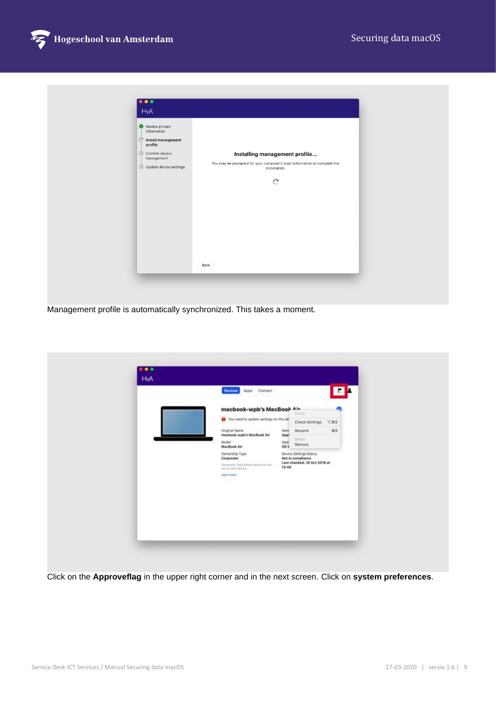

| $\frac{1}{2}$ Install management<br>profile<br>3 Confirm device<br>Installing management profile<br>management<br>You may be prompted for your computer's login information to complete the<br>4 Update device settings<br>installation.<br>$\frac{1}{2} \sum_{i=1}^{N}$ |  |
|--------------------------------------------------------------------------------------------------------------------------------------------------------------------------------------------------------------------------------------------------------------------------|--|
|--------------------------------------------------------------------------------------------------------------------------------------------------------------------------------------------------------------------------------------------------------------------------|--|

Management profile is automatically synchronized. This takes a moment.

| macbook-wpb's MacBook Air                                 |                         |                                             | m          |  |
|-----------------------------------------------------------|-------------------------|---------------------------------------------|------------|--|
| Sou need to update settings on this de                    |                         | Irvot<br>Check Settings                     | <b>YMS</b> |  |
| Original Name<br>macbook-wpb's MacBook Air                | Mary.<br>Appl           | Rename                                      | <b>XR</b>  |  |
| Model<br>MacBook Air                                      | Oper<br>05 <sub>3</sub> | <b>Result:</b><br>Remove                    |            |  |
| Ownership Type<br>Corporate                               |                         | Device Settings Status<br>Not in compliance |            |  |
| Denerate Type attects what Hok can<br>eed on your devote. | 13:45                   | Last checked: 29 Oct 2019 at                |            |  |
| <b>Jahrn more</b><br>- 103                                |                         |                                             |            |  |
|                                                           |                         |                                             |            |  |
|                                                           |                         |                                             |            |  |
|                                                           |                         |                                             |            |  |
|                                                           |                         |                                             |            |  |

Click on the **Approveflag** in the upper right corner and in the next screen. Click on **system preferences**.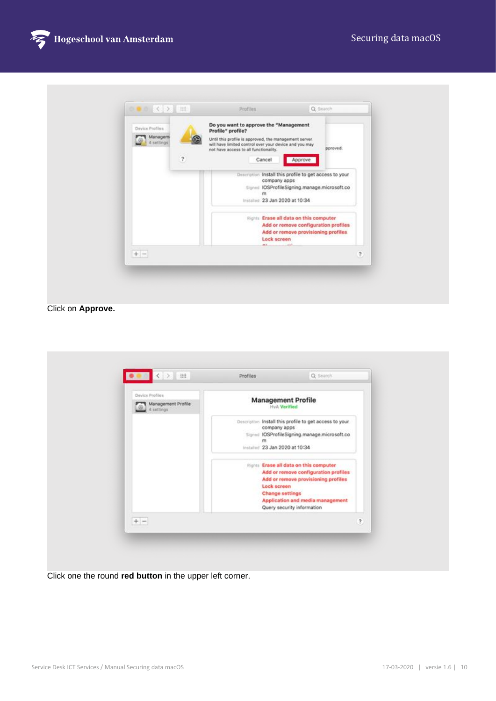

|                                           |            | Do you want to approve the "Management                                                                                                                                                   |          |                         |
|-------------------------------------------|------------|------------------------------------------------------------------------------------------------------------------------------------------------------------------------------------------|----------|-------------------------|
| Device Profiles<br>Managemi<br>A settings | $\sqrt{2}$ | Profile" profile?<br>Until this profile is approved, the management server.<br>will have limited control over your device and you may<br>not have access to all functionality.<br>Cancel | pproved. |                         |
|                                           |            | Approve                                                                                                                                                                                  |          |                         |
|                                           |            | Description Install this profile to get access to your<br>company apps<br>Signed IOSProfileSigning.manage.microsoft.co<br>m<br>Installed 23 Jan 2020 at 10:34                            |          |                         |
|                                           |            | Rights Erase all data on this computer<br>Add or remove configuration profiles<br>Add or remove provisioning profiles<br><b>Lock screen</b><br>Lakk.<br>$\overline{m}$                   |          |                         |
| $+ -$                                     |            |                                                                                                                                                                                          |          | $\overline{\mathbf{r}}$ |

Click on **Approve.**

| Device Profiles<br>Management Profile<br>4 sattings | <b>Management Profile</b><br><b>HvA</b> Verified                                                                                                                                                                                 |              |
|-----------------------------------------------------|----------------------------------------------------------------------------------------------------------------------------------------------------------------------------------------------------------------------------------|--------------|
|                                                     | Description Install this profile to get access to your<br>company apps<br>Signed IOSProfileSigning.manage.microsoft.co<br>m<br>installed 23 Jan 2020 at 10:34                                                                    |              |
|                                                     | Rights Erase all data on this computer<br>Add or remove configuration profiles<br>Add or remove provisioning profiles<br>Lock screen<br><b>Change settings</b><br>Application and media management<br>Query security information |              |
| $+ -$                                               |                                                                                                                                                                                                                                  | $\mathbf{r}$ |

Click one the round **red button** in the upper left corner.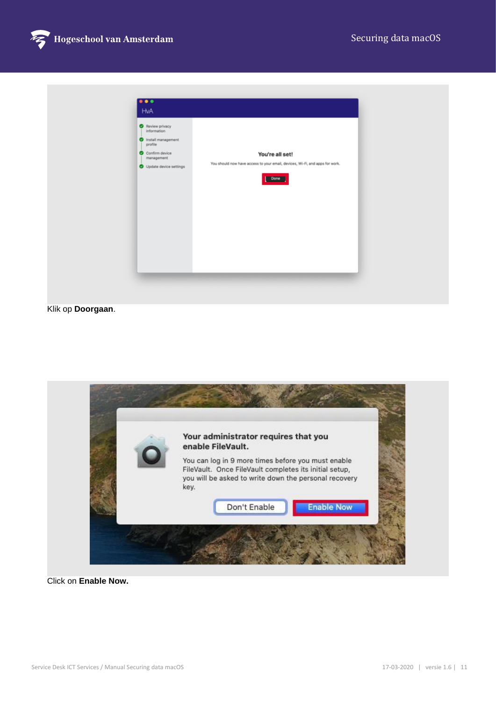

| <b>O</b> Review privacy<br><i>information</i><br>S Install management<br>profile<br>Confirm device<br>management<br>Update device settings | You're all set!<br>You should now have access to your email, devices, Wi-Fi, and apps for work.<br>Done |
|--------------------------------------------------------------------------------------------------------------------------------------------|---------------------------------------------------------------------------------------------------------|
|--------------------------------------------------------------------------------------------------------------------------------------------|---------------------------------------------------------------------------------------------------------|

## Klik op **Doorgaan**.



Click on **Enable Now.**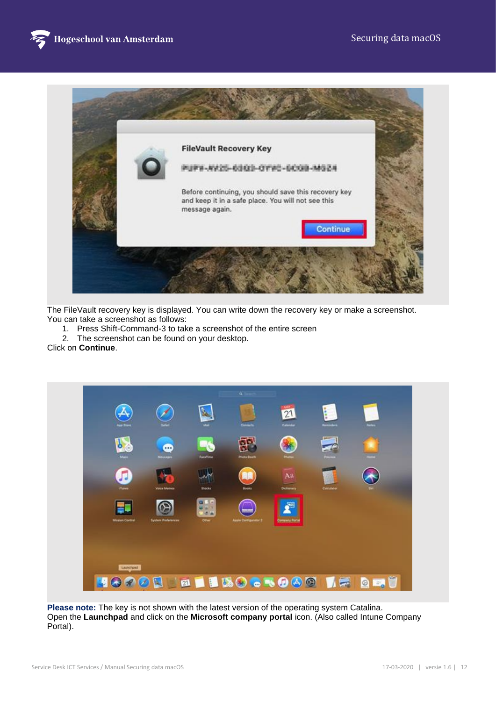



The FileVault recovery key is displayed. You can write down the recovery key or make a screenshot. You can take a screenshot as follows:

- 1. Press Shift-Command-3 to take a screenshot of the entire screen
- 2. The screenshot can be found on your desktop.

Click on **Continue**.



**Please note:** The key is not shown with the latest version of the operating system Catalina. Open the **Launchpad** and click on the **Microsoft company portal** icon. (Also called Intune Company Portal).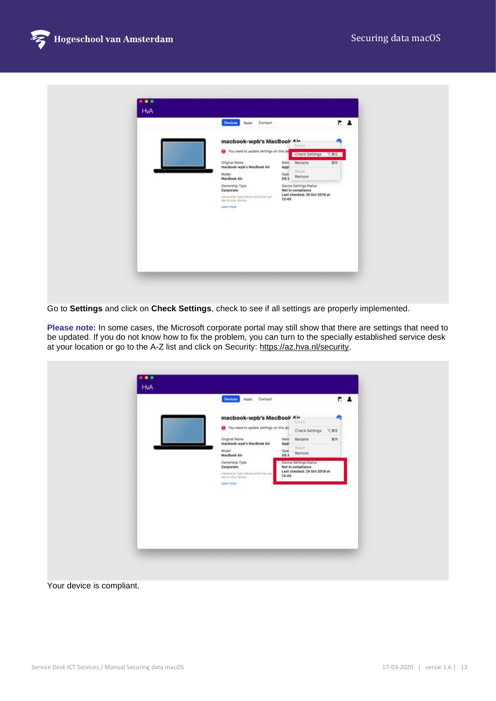

| <b>Eyyer</b><br>Ww need to update settings on this de<br>Check Settings \XS<br>$_{\rm HR}$<br>Original Name<br>Mark<br>Rename<br>120.3031.100<br>macbook-wpb's MacBook Air<br>Appl<br><b>TIVESEE</b><br>Model<br>Opei<br>Remove<br>053<br>MacBook Air<br>Device Settings Status<br>Ownership Type<br>Not in compliance<br>Corporate<br>Last checked: 29 Oct 2019 at<br>Uarrership Type affects what this can.<br>13:45<br>site on your strying.<br>Learn more | macbook-wpb's MacBook Air |  |  |
|---------------------------------------------------------------------------------------------------------------------------------------------------------------------------------------------------------------------------------------------------------------------------------------------------------------------------------------------------------------------------------------------------------------------------------------------------------------|---------------------------|--|--|
|                                                                                                                                                                                                                                                                                                                                                                                                                                                               |                           |  |  |
|                                                                                                                                                                                                                                                                                                                                                                                                                                                               |                           |  |  |

Go to **Settings** and click on **Check Settings**, check to see if all settings are properly implemented.

**Please note:** In some cases, the Microsoft corporate portal may still show that there are settings that need to be updated. If you do not know how to fix the problem, you can turn to the specially established service desk at your location or go to the A-Z list and click on Security: https://az.hva.nl/security.



Your device is compliant.